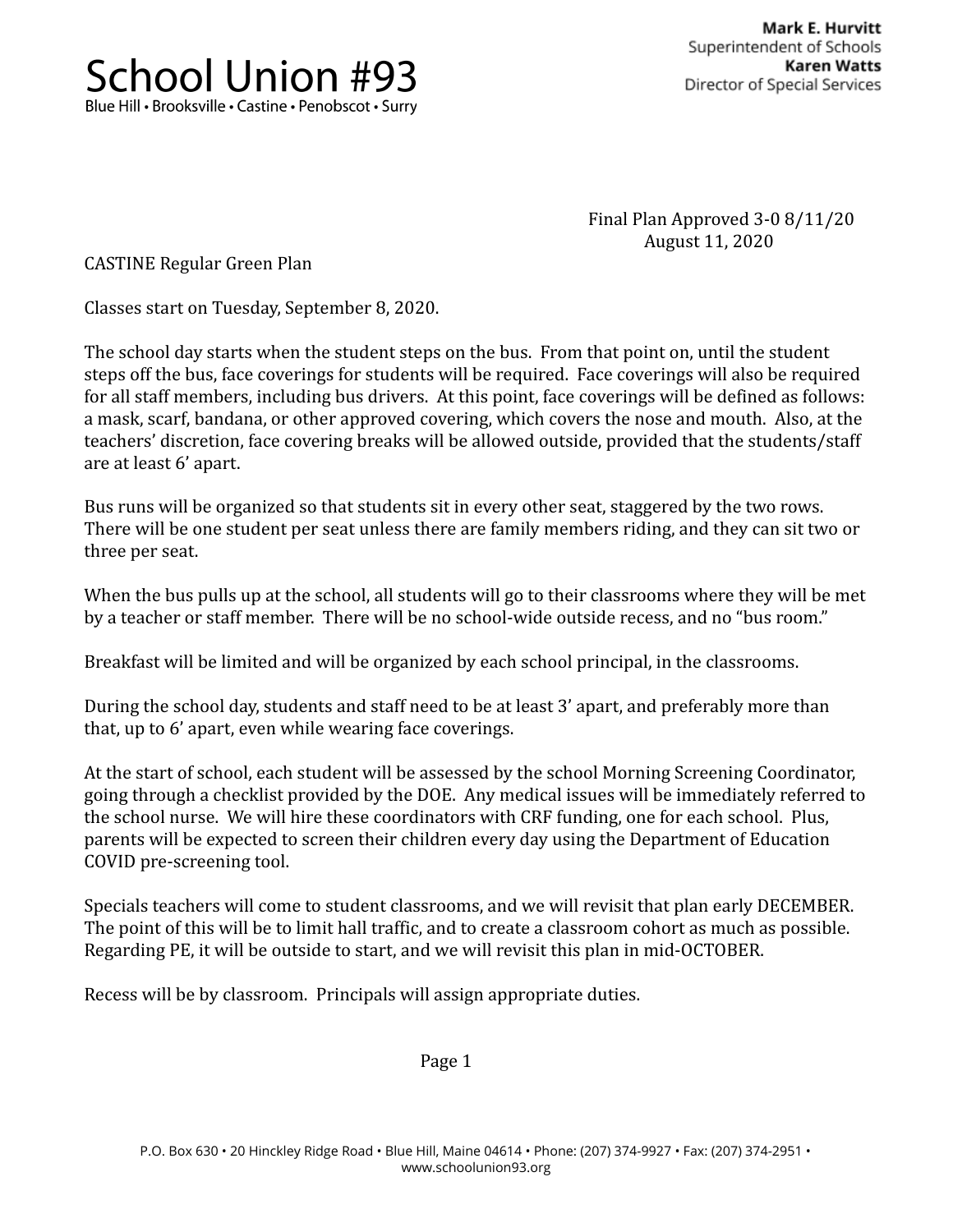

Final Plan Approved 3-0 8/11/20 August 11, 2020

CASTINE Regular Green Plan

Classes start on Tuesday, September 8, 2020.

The school day starts when the student steps on the bus. From that point on, until the student steps off the bus, face coverings for students will be required. Face coverings will also be required for all staff members, including bus drivers. At this point, face coverings will be defined as follows: a mask, scarf, bandana, or other approved covering, which covers the nose and mouth. Also, at the teachers' discretion, face covering breaks will be allowed outside, provided that the students/staff are at least 6' apart.

Bus runs will be organized so that students sit in every other seat, staggered by the two rows. There will be one student per seat unless there are family members riding, and they can sit two or three per seat.

When the bus pulls up at the school, all students will go to their classrooms where they will be met by a teacher or staff member. There will be no school-wide outside recess, and no "bus room."

Breakfast will be limited and will be organized by each school principal, in the classrooms.

During the school day, students and staff need to be at least 3' apart, and preferably more than that, up to 6' apart, even while wearing face coverings.

At the start of school, each student will be assessed by the school Morning Screening Coordinator, going through a checklist provided by the DOE. Any medical issues will be immediately referred to the school nurse. We will hire these coordinators with CRF funding, one for each school. Plus, parents will be expected to screen their children every day using the Department of Education COVID pre-screening tool.

Specials teachers will come to student classrooms, and we will revisit that plan early DECEMBER. The point of this will be to limit hall traffic, and to create a classroom cohort as much as possible. Regarding PE, it will be outside to start, and we will revisit this plan in mid-OCTOBER.

Recess will be by classroom. Principals will assign appropriate duties.

Page 1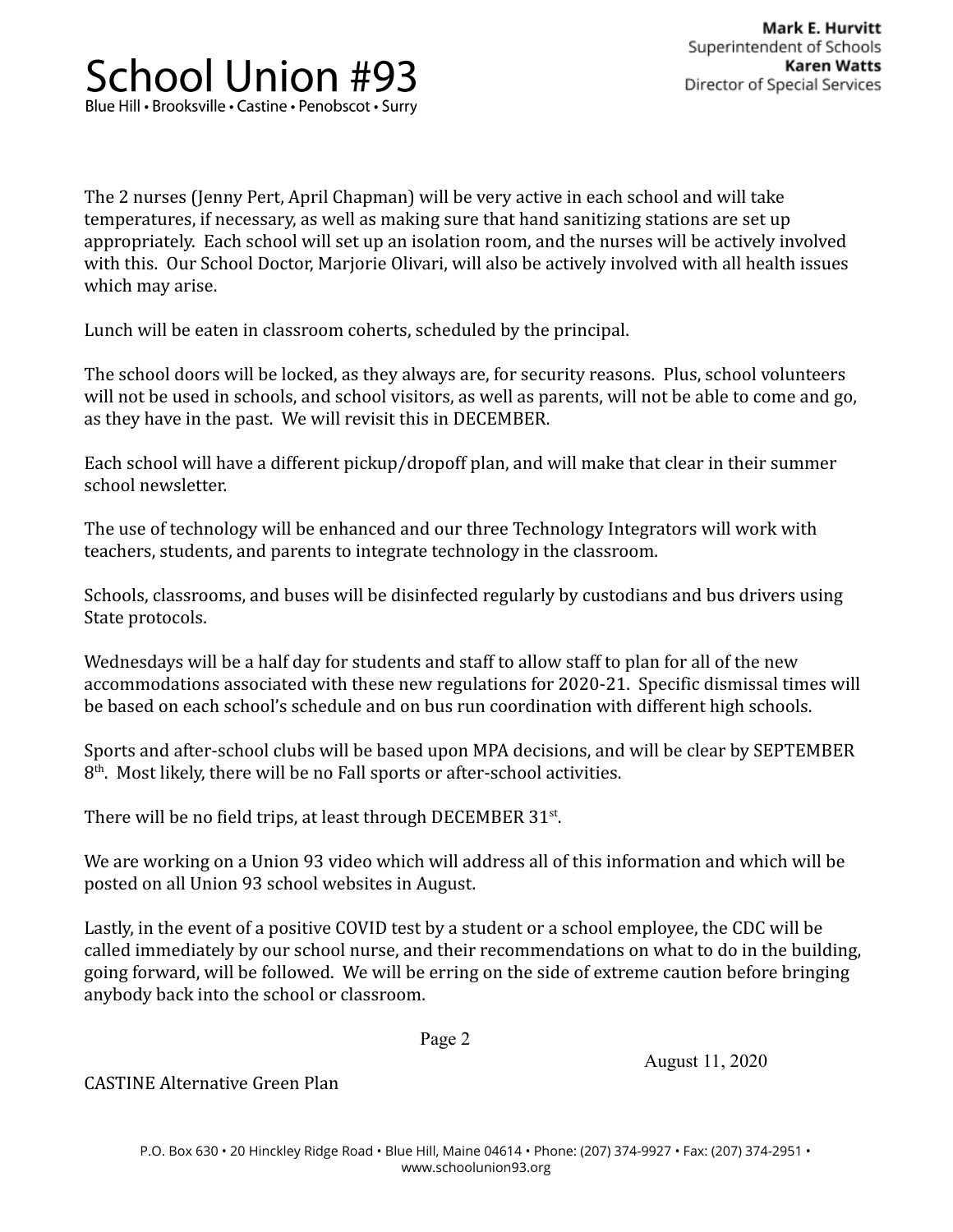The 2 nurses (Jenny Pert, April Chapman) will be very active in each school and will take temperatures, if necessary, as well as making sure that hand sanitizing stations are set up appropriately. Each school will set up an isolation room, and the nurses will be actively involved with this. Our School Doctor, Marjorie Olivari, will also be actively involved with all health issues which may arise.

Lunch will be eaten in classroom coherts, scheduled by the principal.

The school doors will be locked, as they always are, for security reasons. Plus, school volunteers will not be used in schools, and school visitors, as well as parents, will not be able to come and go, as they have in the past. We will revisit this in DECEMBER.

Each school will have a different pickup/dropoff plan, and will make that clear in their summer school newsletter.

The use of technology will be enhanced and our three Technology Integrators will work with teachers, students, and parents to integrate technology in the classroom.

Schools, classrooms, and buses will be disinfected regularly by custodians and bus drivers using State protocols.

Wednesdays will be a half day for students and staff to allow staff to plan for all of the new accommodations associated with these new regulations for 2020-21. Specific dismissal times will be based on each school's schedule and on bus run coordination with different high schools.

Sports and after-school clubs will be based upon MPA decisions, and will be clear by SEPTEMBER  $8<sup>th</sup>$ . Most likely, there will be no Fall sports or after-school activities.

There will be no field trips, at least through DECEMBER  $31<sup>st</sup>$ .

We are working on a Union 93 video which will address all of this information and which will be posted on all Union 93 school websites in August.

Lastly, in the event of a positive COVID test by a student or a school employee, the CDC will be called immediately by our school nurse, and their recommendations on what to do in the building, going forward, will be followed. We will be erring on the side of extreme caution before bringing anybody back into the school or classroom.

Page 2

August 11, 2020

CASTINE Alternative Green Plan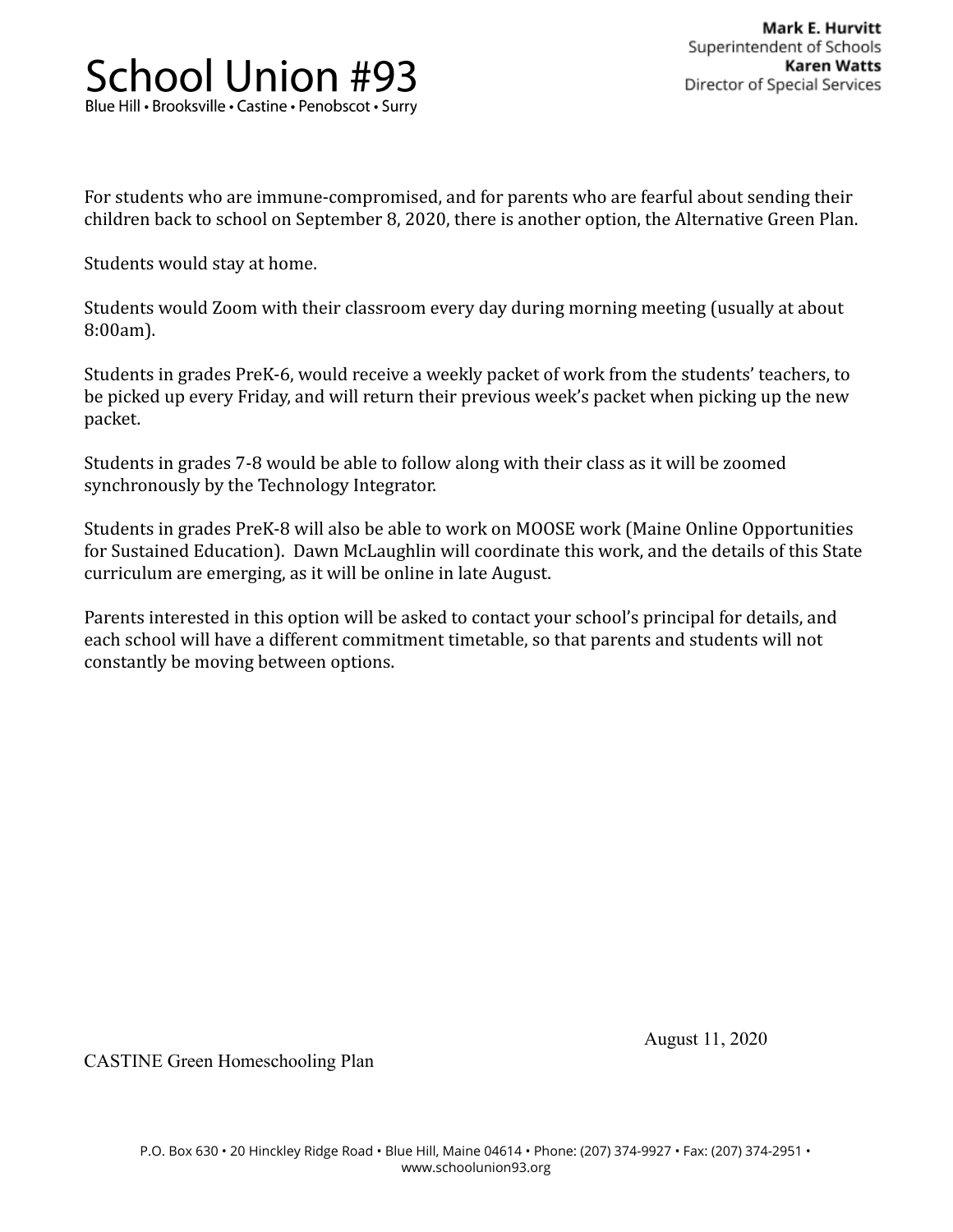For students who are immune-compromised, and for parents who are fearful about sending their children back to school on September 8, 2020, there is another option, the Alternative Green Plan.

Students would stay at home.

Students would Zoom with their classroom every day during morning meeting (usually at about 8:00am).

Students in grades PreK-6, would receive a weekly packet of work from the students' teachers, to be picked up every Friday, and will return their previous week's packet when picking up the new packet.

Students in grades 7-8 would be able to follow along with their class as it will be zoomed synchronously by the Technology Integrator.

Students in grades PreK-8 will also be able to work on MOOSE work (Maine Online Opportunities for Sustained Education). Dawn McLaughlin will coordinate this work, and the details of this State curriculum are emerging, as it will be online in late August.

Parents interested in this option will be asked to contact your school's principal for details, and each school will have a different commitment timetable, so that parents and students will not constantly be moving between options.

August 11, 2020

CASTINE Green Homeschooling Plan